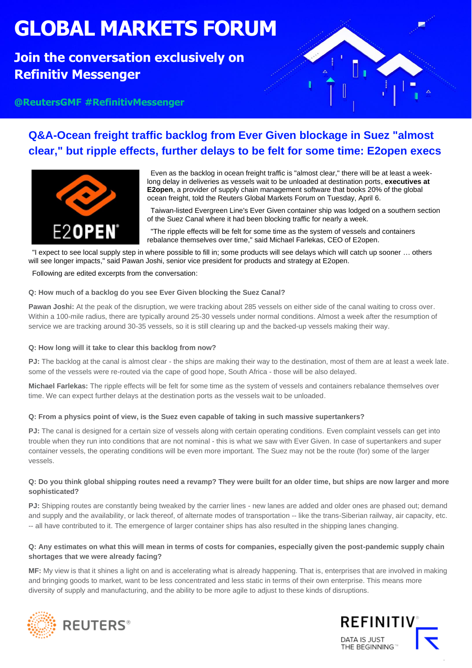# **GLOBAL MARKETS FORUM**

## **Join the conversation exclusively on Refinitiv Messenger**

**@ReutersGMF #RefinitivMessenger**



## **Q&A-Ocean freight traffic backlog from Ever Given blockage in Suez "almost clear," but ripple effects, further delays to be felt for some time: E2open execs**



Even as the backlog in ocean freight traffic is "almost clear," there will be at least a weeklong delay in deliveries as vessels wait to be unloaded at destination ports, **executives at E2open**, a provider of supply chain management software that books 20% of the global ocean freight, told the Reuters Global Markets Forum on Tuesday, April 6.

Taiwan-listed Evergreen Line's Ever Given container ship was lodged on a southern section of the Suez Canal where it had been blocking traffic for nearly a week.

"The ripple effects will be felt for some time as the system of vessels and containers rebalance themselves over time," said Michael Farlekas, CEO of E2open.

"I expect to see local supply step in where possible to fill in; some products will see delays which will catch up sooner … others will see longer impacts," said Pawan Joshi, senior vice president for products and strategy at E2open.

#### Following are edited excerpts from the conversation:

#### **Q: How much of a backlog do you see Ever Given blocking the Suez Canal?**

Pawan Joshi: At the peak of the disruption, we were tracking about 285 vessels on either side of the canal waiting to cross over. Within a 100-mile radius, there are typically around 25-30 vessels under normal conditions. Almost a week after the resumption of service we are tracking around 30-35 vessels, so it is still clearing up and the backed-up vessels making their way.

#### **Q: How long will it take to clear this backlog from now?**

**PJ:** The backlog at the canal is almost clear - the ships are making their way to the destination, most of them are at least a week late. some of the vessels were re-routed via the cape of good hope, South Africa - those will be also delayed.

**Michael Farlekas:** The ripple effects will be felt for some time as the system of vessels and containers rebalance themselves over time. We can expect further delays at the destination ports as the vessels wait to be unloaded.

#### **Q: From a physics point of view, is the Suez even capable of taking in such massive supertankers?**

**PJ:** The canal is designed for a certain size of vessels along with certain operating conditions. Even complaint vessels can get into trouble when they run into conditions that are not nominal - this is what we saw with Ever Given. In case of supertankers and super container vessels, the operating conditions will be even more important. The Suez may not be the route (for) some of the larger vessels.

#### **Q: Do you think global shipping routes need a revamp? They were built for an older time, but ships are now larger and more sophisticated?**

**PJ:** Shipping routes are constantly being tweaked by the carrier lines - new lanes are added and older ones are phased out; demand and supply and the availability, or lack thereof, of alternate modes of transportation -- like the trans-Siberian railway, air capacity, etc. -- all have contributed to it. The emergence of larger container ships has also resulted in the shipping lanes changing.

#### **Q: Any estimates on what this will mean in terms of costs for companies, especially given the post-pandemic supply chain shortages that we were already facing?**

**MF:** My view is that it shines a light on and is accelerating what is already happening. That is, enterprises that are involved in making and bringing goods to market, want to be less concentrated and less static in terms of their own enterprise. This means more diversity of supply and manufacturing, and the ability to be more agile to adjust to these kinds of disruptions.





.